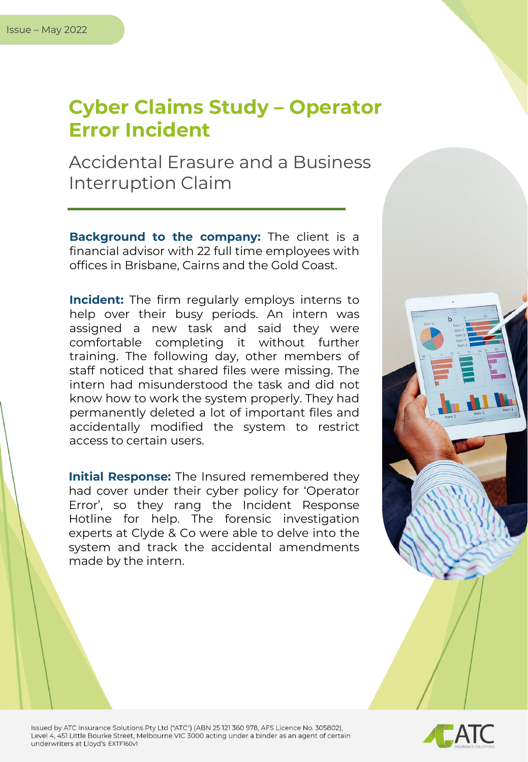## **Cyber Claims Study – Operator Error Incident**

Accidental Erasure and a Business Interruption Claim

**Background to the company:** The client is a financial advisor with 22 full time employees with offices in Brisbane, Cairns and the Gold Coast.

**Incident:** The firm regularly employs interns to help over their busy periods. An intern was assigned a new task and said they were comfortable completing it without further training. The following day, other members of staff noticed that shared files were missing. The intern had misunderstood the task and did not know how to work the system properly. They had permanently deleted a lot of important files and accidentally modified the system to restrict access to certain users.

**Initial Response:** The Insured remembered they had cover under their cyber policy for 'Operator Error', so they rang the Incident Response Hotline for help. The forensic investigation experts at Clyde & Co were able to delve into the system and track the accidental amendments made by the intern.



Issued by ATC Insurance Solutions Pty Ltd ("ATC") (ABN 25 121 360 978, AFS Licence No. 305802), Level 4, 451 Little Bourke Street, Melbourne VIC 3000 acting under a binder as an agent of certain underwriters at Lloyd's EXTF160v1